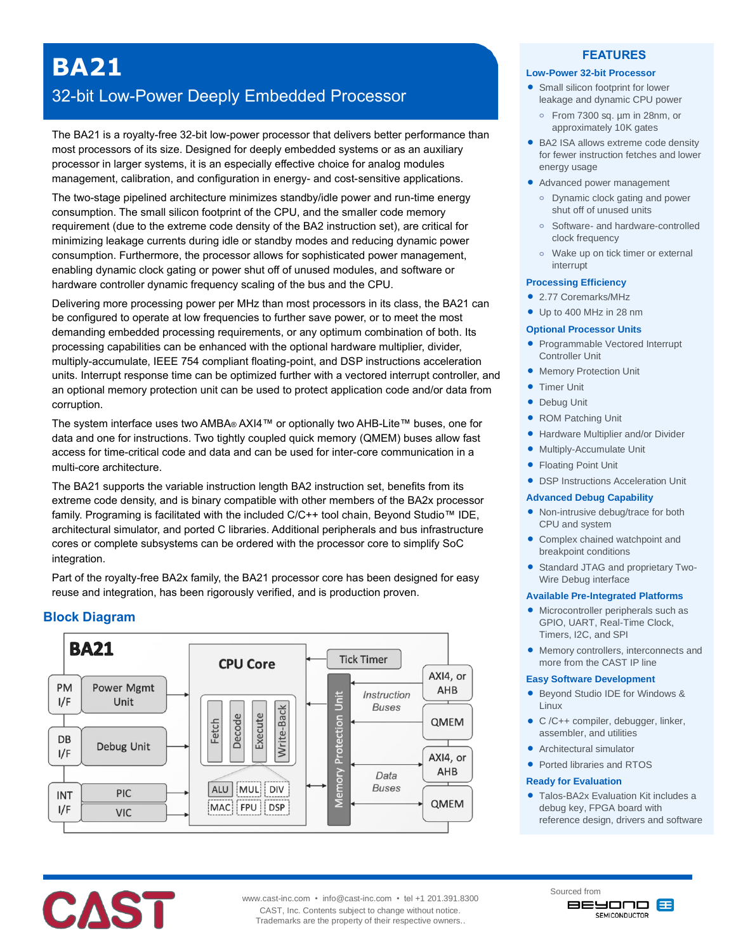# **BA21**

## 32-bit Low-Power Deeply Embedded Processor

The BA21 is a royalty-free 32-bit low-power processor that delivers better performance than most processors of its size. Designed for deeply embedded systems or as an auxiliary processor in larger systems, it is an especially effective choice for analog modules management, calibration, and configuration in energy- and cost-sensitive applications.

The two-stage pipelined architecture minimizes standby/idle power and run-time energy consumption. The small silicon footprint of the CPU, and the smaller code memory requirement (due to the extreme code density of the BA2 instruction set), are critical for minimizing leakage currents during idle or standby modes and reducing dynamic power consumption. Furthermore, the processor allows for sophisticated power management, enabling dynamic clock gating or power shut off of unused modules, and software or hardware controller dynamic frequency scaling of the bus and the CPU.

Delivering more processing power per MHz than most processors in its class, the BA21 can be configured to operate at low frequencies to further save power, or to meet the most demanding embedded processing requirements, or any optimum combination of both. Its processing capabilities can be enhanced with the optional hardware multiplier, divider, multiply-accumulate, IEEE 754 compliant floating-point, and DSP instructions acceleration units. Interrupt response time can be optimized further with a vectored interrupt controller, and an optional memory protection unit can be used to protect application code and/or data from corruption.

The system interface uses two AMBA® AXI4™ or optionally two AHB-Lite™ buses, one for data and one for instructions. Two tightly coupled quick memory (QMEM) buses allow fast access for time-critical code and data and can be used for inter-core communication in a multi-core architecture.

The BA21 supports the variable instruction length BA2 instruction set, benefits from its extreme code density, and is binary compatible with other members of the BA2x processor family. Programing is facilitated with the included C/C++ tool chain, Beyond Studio™ IDE, architectural simulator, and ported C libraries. Additional peripherals and bus infrastructure cores or complete subsystems can be ordered with the processor core to simplify SoC integration.

Part of the royalty-free BA2x family, the BA21 processor core has been designed for easy reuse and integration, has been rigorously verified, and is production proven.

## **Block Diagram**



#### **FEATURES**

#### **Low-Power 32-bit Processor**

- **•** Small silicon footprint for lower leakage and dynamic CPU power
	- **o** From 7300 sq. µm in 28nm, or approximately 10K gates
- BA2 ISA allows extreme code density for fewer instruction fetches and lower energy usage
- Advanced power management
	- **o** Dynamic clock gating and power shut off of unused units
	- **o** Software- and hardware-controlled clock frequency
	- **o** Wake up on tick timer or external interrupt

#### **Processing Efficiency**

- 2.77 Coremarks/MHz
- Up to 400 MHz in 28 nm

#### **Optional Processor Units**

- Programmable Vectored Interrupt Controller Unit
- **Memory Protection Unit**
- **Timer Unit**
- **•** Debug Unit
- ROM Patching Unit
- **Hardware Multiplier and/or Divider**
- Multiply-Accumulate Unit
- Floating Point Unit
- DSP Instructions Acceleration Unit

#### **Advanced Debug Capability**

- Non-intrusive debug/trace for both CPU and system
- Complex chained watchpoint and breakpoint conditions
- Standard JTAG and proprietary Two-Wire Debug interface

#### **Available Pre-Integrated Platforms**

- Microcontroller peripherals such as GPIO, UART, Real-Time Clock, Timers, I2C, and SPI
- Memory controllers, interconnects and more from the CAST IP line

#### **Easy Software Development**

- Beyond Studio IDE for Windows & Linux
- C /C++ compiler, debugger, linker, assembler, and utilities
- Architectural simulator
- Ported libraries and RTOS
- Talos-BA2x Evaluation Kit includes a debug key, FPGA board with reference design, drivers and software



CAST, Inc. Contents subject to change without notice. Trademarks are the property of their respective owners..



**Ready for Evaluation**